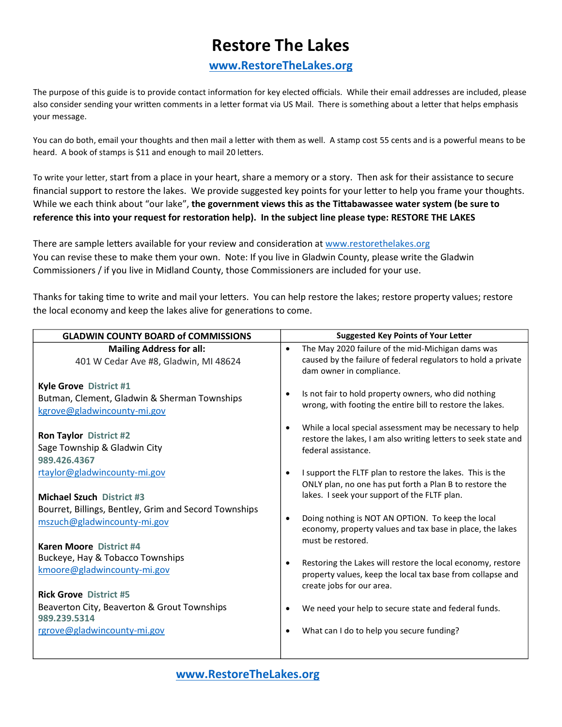## **Restore The Lakes**

## **www.RestoreTheLakes.org**

The purpose of this guide is to provide contact information for key elected officials. While their email addresses are included, please also consider sending your written comments in a letter format via US Mail. There is something about a letter that helps emphasis your message.

You can do both, email your thoughts and then mail a letter with them as well. A stamp cost 55 cents and is a powerful means to be heard. A book of stamps is \$11 and enough to mail 20 letters.

To write your letter, start from a place in your heart, share a memory or a story. Then ask for their assistance to secure financial support to restore the lakes. We provide suggested key points for your letter to help you frame your thoughts. While we each think about "our lake", the government views this as the Tittabawassee water system (be sure to reference this into your request for restoration help). In the subject line please type: RESTORE THE LAKES

There are sample letters available for your review and consideration at www.restorethelakes.org You can revise these to make them your own. Note: If you live in Gladwin County, please write the Gladwin Commissioners / if you live in Midland County, those Commissioners are included for your use.

Thanks for taking time to write and mail your letters. You can help restore the lakes; restore property values; restore the local economy and keep the lakes alive for generations to come.

| <b>GLADWIN COUNTY BOARD of COMMISSIONS</b>                                                            | <b>Suggested Key Points of Your Letter</b> |                                                                                                                                                                      |
|-------------------------------------------------------------------------------------------------------|--------------------------------------------|----------------------------------------------------------------------------------------------------------------------------------------------------------------------|
| <b>Mailing Address for all:</b><br>401 W Cedar Ave #8, Gladwin, MI 48624                              | $\bullet$                                  | The May 2020 failure of the mid-Michigan dams was<br>caused by the failure of federal regulators to hold a private<br>dam owner in compliance.                       |
| Kyle Grove District #1<br>Butman, Clement, Gladwin & Sherman Townships<br>kgrove@gladwincounty-mi.gov | $\bullet$                                  | Is not fair to hold property owners, who did nothing<br>wrong, with footing the entire bill to restore the lakes.                                                    |
| <b>Ron Taylor District #2</b><br>Sage Township & Gladwin City<br>989.426.4367                         | $\bullet$                                  | While a local special assessment may be necessary to help<br>restore the lakes, I am also writing letters to seek state and<br>federal assistance.                   |
| rtaylor@gladwincounty-mi.gov<br><b>Michael Szuch District #3</b>                                      | $\bullet$                                  | I support the FLTF plan to restore the lakes. This is the<br>ONLY plan, no one has put forth a Plan B to restore the<br>lakes. I seek your support of the FLTF plan. |
| Bourret, Billings, Bentley, Grim and Secord Townships<br>mszuch@gladwincounty-mi.gov                  | $\bullet$                                  | Doing nothing is NOT AN OPTION. To keep the local<br>economy, property values and tax base in place, the lakes<br>must be restored.                                  |
| Karen Moore District #4<br>Buckeye, Hay & Tobacco Townships<br>kmoore@gladwincounty-mi.gov            | $\bullet$                                  | Restoring the Lakes will restore the local economy, restore<br>property values, keep the local tax base from collapse and<br>create jobs for our area.               |
| <b>Rick Grove District #5</b><br>Beaverton City, Beaverton & Grout Townships<br>989.239.5314          | ٠                                          | We need your help to secure state and federal funds.                                                                                                                 |
| rgrove@gladwincounty-mi.gov                                                                           | $\bullet$                                  | What can I do to help you secure funding?                                                                                                                            |